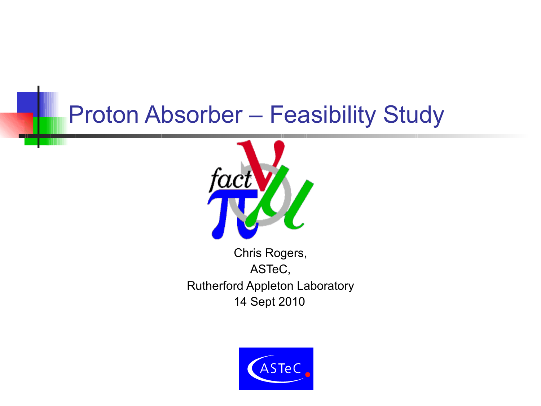# Proton Absorber – Feasibility Study



Chris Rogers, ASTeC, Rutherford Appleton Laboratory 14 Sept 2010

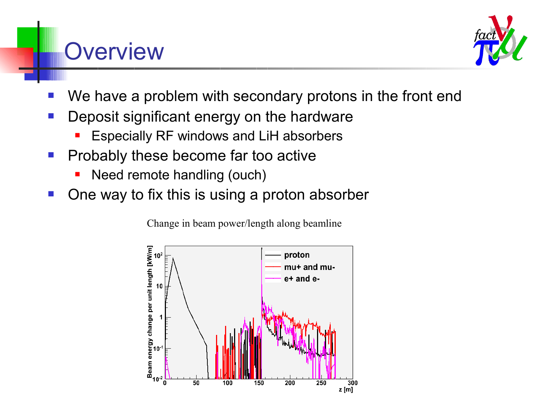#### **Overview**



- We have a problem with secondary protons in the front end
- Deposit significant energy on the hardware
	- Especially RF windows and LiH absorbers
- **Probably these become far too active** 
	- Need remote handling (ouch)
- One way to fix this is using a proton absorber

Change in beam power/length along beamline

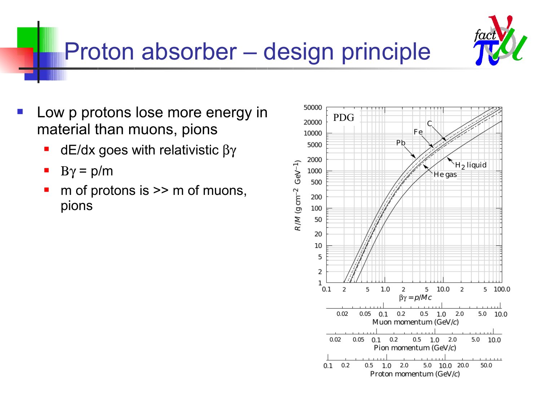

# Proton absorber – design principle

- Low p protons lose more energy in material than muons, pions
	- $\blacksquare$  dE/dx goes with relativistic  $\beta\gamma$
	- $\rightarrow$  B $\gamma$  = p/m
	- m of protons is >> m of muons, pions

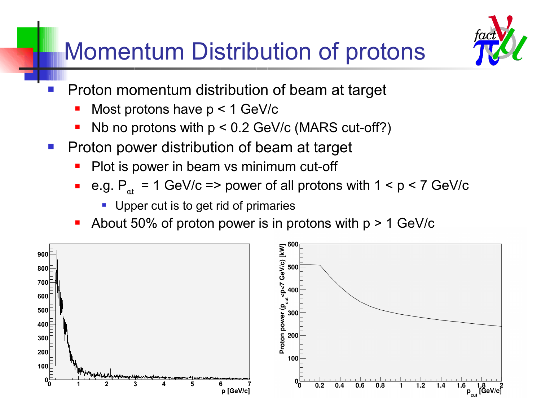# Momentum Distribution of protons



- **Proton momentum distribution of beam at target** 
	- Most protons have p < 1 GeV/c
	- Nb no protons with  $p < 0.2$  GeV/c (MARS cut-off?)
- Proton power distribution of beam at target
	- Plot is power in beam vs minimum cut-off
	- e.g.  $P_{\text{at}} = 1$  GeV/c => power of all protons with  $1 < p < 7$  GeV/c
		- **Upper cut is to get rid of primaries**
	- About 50% of proton power is in protons with  $p > 1$  GeV/c

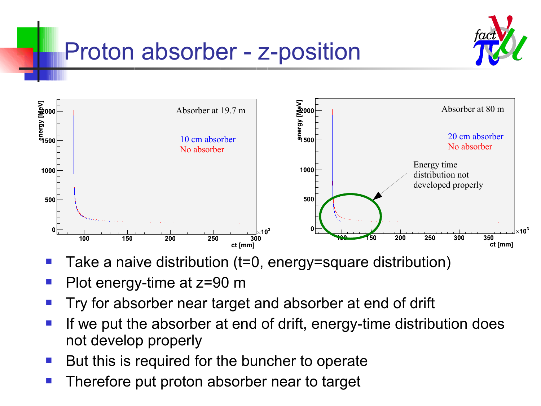

### Proton absorber - z-position



- Take a naive distribution (t=0, energy=square distribution)
- Plot energy-time at z=90 m
- Try for absorber near target and absorber at end of drift
- If we put the absorber at end of drift, energy-time distribution does not develop properly
- But this is required for the buncher to operate
- Therefore put proton absorber near to target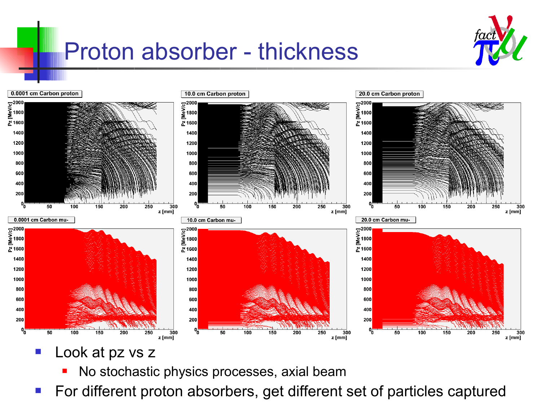





- Look at pz vs z
	- No stochastic physics processes, axial beam
- For different proton absorbers, get different set of particles captured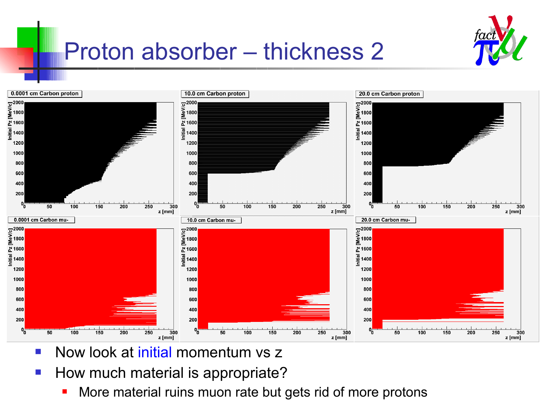

# Proton absorber – thickness 2



- Now look at initial momentum vs z
- How much material is appropriate?
	- More material ruins muon rate but gets rid of more protons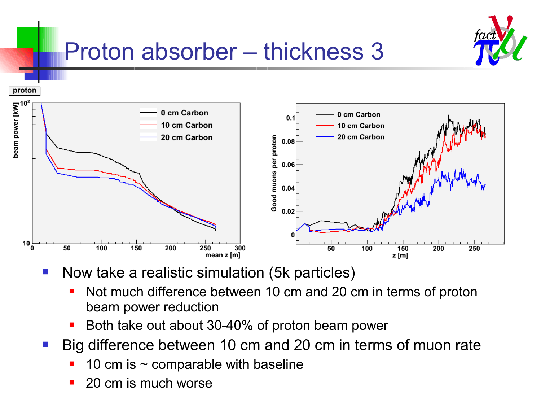

# Proton absorber – thickness 3



- Now take a realistic simulation (5k particles)
	- Not much difference between 10 cm and 20 cm in terms of proton beam power reduction
	- Both take out about 30-40% of proton beam power
- Big difference between 10 cm and 20 cm in terms of muon rate
	- 10 cm is  $\sim$  comparable with baseline
	- 20 cm is much worse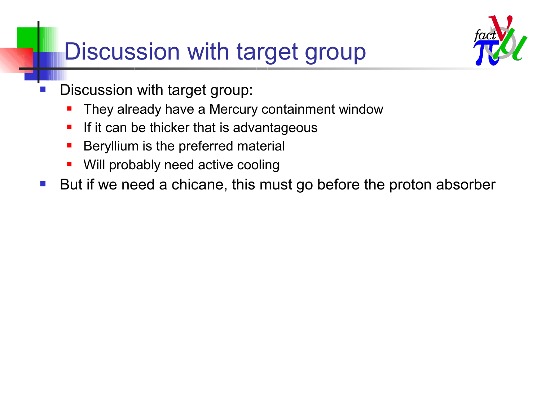# Discussion with target group



- Discussion with target group:
	- They already have a Mercury containment window
	- If it can be thicker that is advantageous
	- **Beryllium is the preferred material**
	- **Will probably need active cooling**
- But if we need a chicane, this must go before the proton absorber